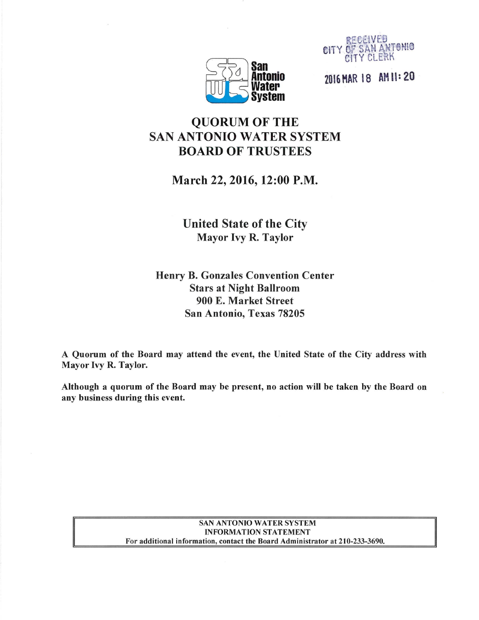



2016 HAR 18 AM U: 20

# QUORUM OF THE SAN ANTONIO WATER SYSTEM BOARD OF TRUSTEES

March 22, 2016, 12:00 P.M.

United State of the City Mayor Ivy R. Taylor

Henry B. Gonzales Convention Center Stars at Night Ballroom 900 E. Market Street San Antonio, Texas 78205

A Quorum of the Board may attend the event, the United State of the City address with Mayor Ivy R. Taylor.

Although a quorum of the Board may be present, no action will be taken by the Board on any business during this event.

#### SAN ANTONIO WATER SYSTEM **INFORMATION STATEMENT** For additional information, contact the Board Administrator at 210-233-3690.